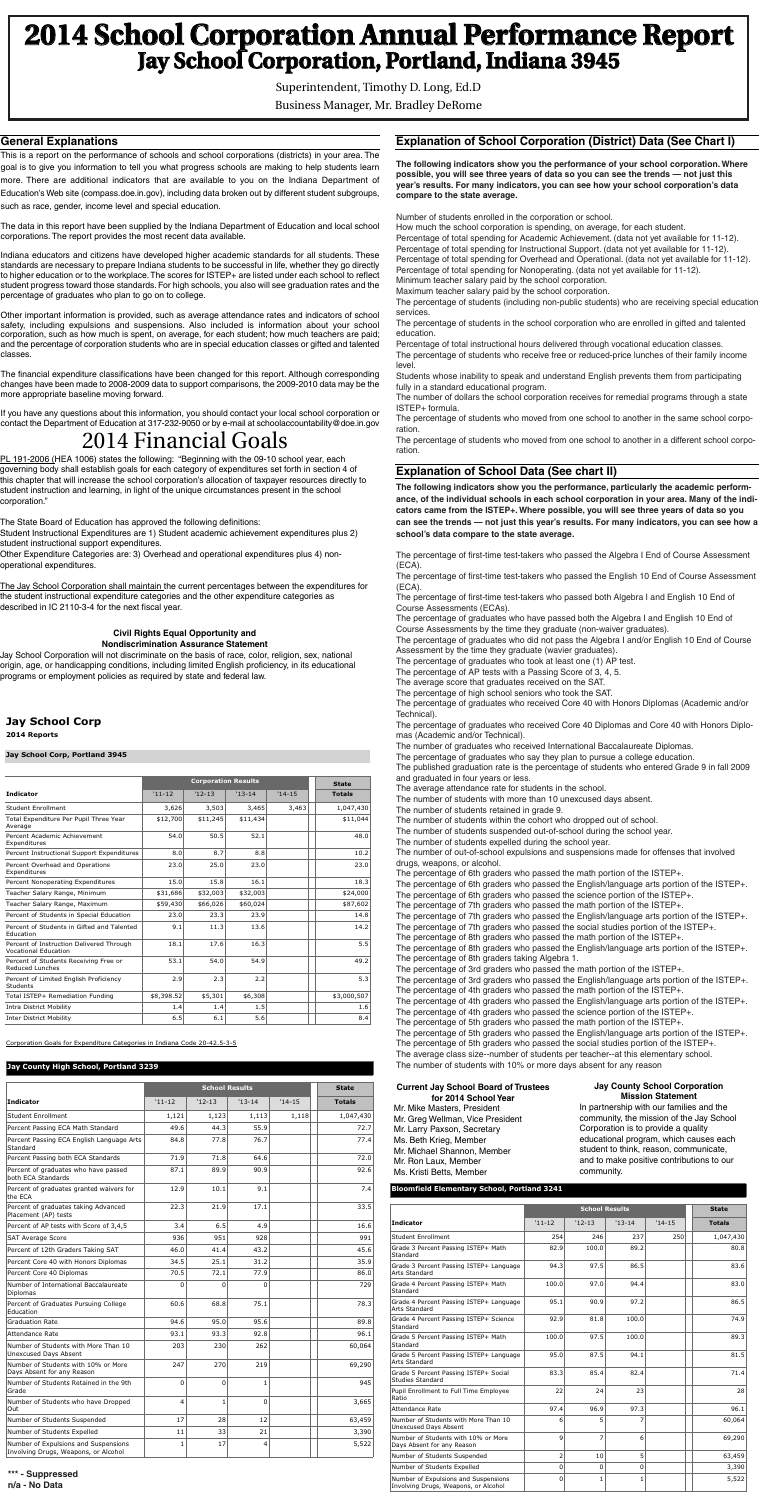# **2014 School Corporation Annual Performance Report Jay School Corporation, Portland, Indiana 3945**

Superintendent, Timothy D. Long, Ed.D Business Manager, Mr. Bradley DeRome

**General Explanations**

This is a report on the performance of schools and school corporations (districts) in your area. The goal is to give you information to tell you what progress schools are making to help students learn more. There are additional indicators that are available to you on the Indiana Department of Education's Web site (compass.doe.in.gov), including data broken out by different student subgroups, such as race, gender, income level and special education.

The data in this report have been supplied by the Indiana Department of Education and local school corporations. The report provides the most recent data available.

Indiana educators and citizens have developed higher academic standards for all students. These standards are necessary to prepare Indiana students to be successful in life, whether they go directly to higher education or to the workplace.The scores for ISTEP+ are listed under each school to reflect student progress toward those standards. For high schools, you also will see graduation rates and the percentage of graduates who plan to go on to college.

Other important information is provided, such as average attendance rates and indicators of school safety, including expulsions and suspensions. Also included is information about your school corporation, such as how much is spent, on average, for each student; how much teachers are paid; and the percentage of corporation students who are in special education classes or gifted and talented classes.

The financial expenditure classifications have been changed for this report. Although corresponding changes have been made to 2008-2009 data to support comparisons, the 2009-2010 data may be the more appropriate baseline moving forward.

If you have any questions about this information, you should contact your local school corporation or contact the Department of Education at 317-232-9050 or by e-mail at schoolaccountability@doe.in.gov

## **Explanation of School Corporation (District) Data (See Chart I)**

**The following indicators show you the performance of your school corporation.Where possible, you will see three years of data so you can see the trends — not just this year's results. For many indicators, you can see how your school corporation's data compare to the state average.**

Number of students enrolled in the corporation or school.

How much the school corporation is spending, on average, for each student. Percentage of total spending for Academic Achievement. (data not yet available for 11-12). Percentage of total spending for Instructional Support. (data not yet available for 11-12). Percentage of total spending for Overhead and Operational. (data not yet available for 11-12). Percentage of total spending for Nonoperating. (data not yet available for 11-12).

Minimum teacher salary paid by the school corporation.

Maximum teacher salary paid by the school corporation.

The percentage of students (including non-public students) who are receiving special education services.

The percentage of students in the school corporation who are enrolled in gifted and talented education.

Percentage of total instructional hours delivered through vocational education classes. The percentage of students who receive free or reduced-price lunches of their family income level.

Students whose inability to speak and understand English prevents them from participating fully in a standard educational program.

The number of dollars the school corporation receives for remedial programs through a state ISTEP+ formula.

The percentage of students who moved from one school to another in the same school corporation.

The percentage of students who moved from one school to another in a different school corporation.

## **Explanation of School Data (See chart II)**

PL 191-2006 (HEA 1006) states the following: "Beginning with the 09-10 school year, each governing body shall establish goals for each category of expenditures set forth in section 4 of this chapter that will increase the school corporation's allocation of taxpayer resources directly to student instruction and learning, in light of the unique circumstances present in the school corporation."

**The following indicators show you the performance, particularly the academic performance, of the individual schools in each school corporation in your area. Many of the indicators came from the ISTEP+.Where possible, you will see three years of data so you can see the trends — not just this year's results. For many indicators, you can see how a school's data compare to the state average.**

The percentage of first-time test-takers who passed the Algebra I End of Course Assessment (ECA).

The percentage of first-time test-takers who passed the English 10 End of Course Assessment (ECA).

The percentage of first-time test-takers who passed both Algebra I and English 10 End of Course Assessments (ECAs).

The percentage of graduates who have passed both the Algebra I and English 10 End of Course Assessments by the time they graduate (non-waiver graduates).

The percentage of graduates who did not pass the Algebra I and/or English 10 End of Course Assessment by the time they graduate (wavier graduates).

The percentage of graduates who took at least one (1) AP test.

The percentage of AP tests with a Passing Score of 3, 4, 5.

The average score that graduates received on the SAT.

The percentage of high school seniors who took the SAT.

The percentage of graduates who received Core 40 with Honors Diplomas (Academic and/or Technical).

The percentage of graduates who received Core 40 Diplomas and Core 40 with Honors Diplomas (Academic and/or Technical).

The number of graduates who received International Baccalaureate Diplomas.

The percentage of graduates who say they plan to pursue a college education.

The published graduation rate is the percentage of students who entered Grade 9 in fall 2009 and graduated in four years or less.

The average attendance rate for students in the school.

The number of students with more than 10 unexcused days absent.

The number of students retained in grade 9.

The number of students within the cohort who dropped out of school.

The number of students suspended out-of-school during the school year.

The number of students expelled during the school year.

The number of out-of-school expulsions and suspensions made for offenses that involved drugs, weapons, or alcohol.

The percentage of 6th graders who passed the math portion of the ISTEP+.

The percentage of 6th graders who passed the English/language arts portion of the ISTEP+. The percentage of 6th graders who passed the science portion of the ISTEP+.

The percentage of 7th graders who passed the math portion of the ISTEP+. The percentage of 7th graders who passed the English/language arts portion of the ISTEP+. The percentage of 7th graders who passed the social studies portion of the ISTEP+. The percentage of 8th graders who passed the math portion of the ISTEP+. The percentage of 8th graders who passed the English/language arts portion of the ISTEP+. The percentage of 8th graders taking Algebra 1. The percentage of 3rd graders who passed the math portion of the ISTEP+. The percentage of 3rd graders who passed the English/language arts portion of the ISTEP+. The percentage of 4th graders who passed the math portion of the ISTEP+. The percentage of 4th graders who passed the English/language arts portion of the ISTEP+.

The percentage of 4th graders who passed the science portion of the ISTEP+. The percentage of 5th graders who passed the math portion of the ISTEP+. The percentage of 5th graders who passed the English/language arts portion of the ISTEP+.

The percentage of 5th graders who passed the social studies portion of the ISTEP+. The average class size--number of students per teacher--at this elementary school. The number of students with 10% or more days absent for any reason

The State Board of Education has approved the following definitions:

Student Instructional Expenditures are 1) Student academic achievement expenditures plus 2) student instructional support expenditures.

Other Expenditure Categories are: 3) Overhead and operational expenditures plus 4) nonoperational expenditures.

The Jay School Corporation shall maintain the current percentages between the expenditures for the student instructional expenditure categories and the other expenditure categories as described in IC 2110-3-4 for the next fiscal year.

#### **Current Jay School Board of Trustees for 2014 SchoolYear** Mr. Mike Masters, President

Mr. Greg Wellman, Vice President Mr. Larry Paxson, Secretary Ms. Beth Krieg, Member Mr. Michael Shannon, Member Mr. Ron Laux, Member Ms. Kristi Betts, Member

#### **Jay County School Corporation Mission Statement**

In partnership with our families and the community, the mission of the Jay School Corporation is to provide a quality educational program, which causes each student to think, reason, communicate, and to make positive contributions to our community.

## 2014 Financial Goals

## **Jay School Corp**

**2014 Reports**

#### **Jay School Corp, Portland 3945**

|                                                                         |            | <b>Corporation Results</b> |           |          |               |
|-------------------------------------------------------------------------|------------|----------------------------|-----------|----------|---------------|
|                                                                         |            | <b>State</b>               |           |          |               |
| <b>Indicator</b>                                                        | $'11 - 12$ | $'12-13$                   | $13 - 14$ | $'14-15$ | <b>Totals</b> |
| Student Enrollment                                                      | 3,626      | 3,503                      | 3,465     | 3,463    | 1,047,430     |
| Total Expenditure Per Pupil Three Year<br>Average                       | \$12,700   | \$11,245                   | \$11,434  |          | \$11,044      |
| Percent Academic Achievement<br>Expenditures                            | 54.0       | 50.5                       | 52.1      |          | 48.0          |
| Percent Instructional Support Expenditures                              | 8.0        | 8.7                        | 8.8       |          | 10.2          |
| Percent Overhead and Operations<br>Expenditures                         | 23.0       | 25.0                       | 23.0      |          | 23.0          |
| Percent Nonoperating Expenditures                                       | 15.0       | 15.8                       | 16.1      |          | 18.3          |
| Teacher Salary Range, Minimum                                           | \$31,686   | \$32,003                   | \$32,003  |          | \$24,000      |
| Teacher Salary Range, Maximum                                           | \$59,430   | \$66,026                   | \$60,024  |          | \$87,602      |
| Percent of Students in Special Education                                | 23.0       | 23.3                       | 23.9      |          | 14.8          |
| Percent of Students in Gifted and Talented<br>Education                 | 9.1        | 11.3                       | 13.6      |          | 14.2          |
| Percent of Instruction Delivered Through<br><b>Vocational Education</b> | 18.1       | 17.6                       | 16.3      |          | 5.5           |
| Percent of Students Receiving Free or<br>Reduced Lunches                | 53.1       | 54.0                       | 54.9      |          | 49.2          |
| Percent of Limited English Proficiency<br>Students                      | 2.9        | 2.3                        | 2.2       |          | 5.3           |
| Total ISTEP+ Remediation Funding                                        | \$8,398.52 | \$5,301                    | \$6,308   |          | \$3,000,507   |
| <b>Intra District Mobility</b>                                          | 1.4        | 1.4                        | 1.5       |          | 1.6           |
| <b>Inter District Mobility</b>                                          | 6.5        | 6.1                        | 5.6       |          | 8.4           |

Corporation Goals for Expenditure Categories in Indiana Code 20-42.5-3-5

#### **Jay County High School, Portland 3239**

|                                                                              |                | <b>State</b> |              |          |               |
|------------------------------------------------------------------------------|----------------|--------------|--------------|----------|---------------|
| <b>Indicator</b>                                                             | $'11 - 12$     | $'12 - 13$   | $13 - 14$    | $'14-15$ | <b>Totals</b> |
| <b>Student Enrollment</b>                                                    | 1,121          | 1,123        | 1,113        | 1,118    | 1,047,430     |
| Percent Passing ECA Math Standard                                            | 49.6           | 44.3         | 55.9         |          | 72.7          |
| Percent Passing ECA English Language Arts<br>Standard                        | 84.8           | 77.8         | 76.7         |          | 77.4          |
| Percent Passing both ECA Standards                                           | 71.9           | 71.8         | 64.6         |          | 72.0          |
| Percent of graduates who have passed<br>both ECA Standards                   | 87.1           | 89.9         | 90.9         |          | 92.6          |
| Percent of graduates granted waivers for<br>the ECA                          | 12.9           | 10.1         | 9.1          |          | 7.4           |
| Percent of graduates taking Advanced<br>Placement (AP) tests                 | 22.3           | 21.9         | 17.1         |          | 33.5          |
| Percent of AP tests with Score of 3,4,5                                      | 3.4            | 6.5          | 4.9          |          | 16.6          |
| <b>SAT Average Score</b>                                                     | 936            | 951          | 928          |          | 991           |
| Percent of 12th Graders Taking SAT                                           | 46.0           | 41.4         | 43.2         |          | 45.6          |
| Percent Core 40 with Honors Diplomas                                         | 34.5           | 25.1         | 31.2         |          | 35.9          |
| Percent Core 40 Diplomas                                                     | 70.5           | 72.1         | 77.9         |          | 86.0          |
| Number of International Baccalaureate<br><b>Diplomas</b>                     | $\Omega$       | 0            | $\Omega$     |          | 729           |
| Percent of Graduates Pursuing College<br>Education                           | 60.6           | 68.8         | 75.1         |          | 78.3          |
| <b>Graduation Rate</b>                                                       | 94.6           | 95.0         | 95.6         |          | 89.8          |
| Attendance Rate                                                              | 93.1           | 93.3         | 92.8         |          | 96.1          |
| Number of Students with More Than 10<br><b>Unexcused Days Absent</b>         | 203            | 230          | 262          |          | 60,064        |
| Number of Students with 10% or More<br>Days Absent for any Reason            | 247            | 270          | 219          |          | 69,290        |
| Number of Students Retained in the 9th<br>Grade                              | 0              | 0            | $\mathbf{1}$ |          | 945           |
| Number of Students who have Dropped<br>Out                                   | $\overline{4}$ | $\mathbf{1}$ | $\Omega$     |          | 3,665         |
| Number of Students Suspended                                                 | 17             | 28           | 12           |          | 63,459        |
| Number of Students Expelled                                                  | 11             | 33           | 21           |          | 3,390         |
| Number of Expulsions and Suspensions<br>Involving Drugs, Weapons, or Alcohol | $\mathbf{1}$   | 17           | 4            |          | 5,522         |

#### **Civil Rights Equal Opportunity and Nondiscrimination Assurance Statement**

Jay School Corporation will not discriminate on the basis of race, color, religion, sex, national origin, age, or handicapping conditions, including limited English proficiency, in its educational programs or employment policies as required by state and federal law.

#### **Bloomfield Elementary School, Portland 3241**

| Percent of graduates taking Advanced<br>Placement (AP) tests      | 22.3                  | 21.9 | 17.1         | 33.5   |                                                                              |                | <b>School Results</b> |          |          |               |  |
|-------------------------------------------------------------------|-----------------------|------|--------------|--------|------------------------------------------------------------------------------|----------------|-----------------------|----------|----------|---------------|--|
| Percent of AP tests with Score of 3.4.5                           | 3.4                   | 6.5  | 4.9          | 16.6   | Indicator                                                                    | $'11 - 12$     | $'12-13$              | $'13-14$ | $'14-15$ | <b>Totals</b> |  |
| <b>SAT Average Score</b>                                          | 936                   | 951  | 928          | 991    | <b>Student Enrollment</b>                                                    | 254            | 246                   | 237      | 250      | 1,047,430     |  |
| Percent of 12th Graders Taking SAT                                | 46.0                  | 41.4 | 43.2         | 45.6   | Grade 3 Percent Passing ISTEP+ Math<br>Standard                              | 82.9           | 100.0                 | 89.2     |          | 80.8          |  |
| Percent Core 40 with Honors Diplomas                              | 34.5                  | 25.1 | 31.2         | 35.9   | Grade 3 Percent Passing ISTEP+ Language                                      | 94.3           | 97.5                  | 86.5     |          | 83.6          |  |
| Percent Core 40 Diplomas                                          | 70.5                  | 72.1 | 77.9         | 86.0   | Arts Standard                                                                |                |                       |          |          |               |  |
| Number of International Baccalaureate<br><b>Diplomas</b>          | $\Omega$              |      | <sup>n</sup> | 729    | Grade 4 Percent Passing ISTEP+ Math<br>Standard                              | 100.0          | 97.0                  | 94.4     |          | 83.0          |  |
| Percent of Graduates Pursuing College<br>Education                | 60.6                  | 68.8 | 75.1         | 78.3   | Grade 4 Percent Passing ISTEP+ Language<br>Arts Standard                     | 95.1           | 90.9                  | 97.2     |          | 86.5          |  |
| <b>Graduation Rate</b>                                            | 94.6                  | 95.0 | 95.6         | 89.8   | Grade 4 Percent Passing ISTEP+ Science<br>Standard                           | 92.9           | 81.8                  | 100.0    |          | 74.9          |  |
| Attendance Rate                                                   | 93.1                  | 93.3 | 92.8         | 96.1   | Grade 5 Percent Passing ISTEP+ Math                                          | 100.0          | 97.5                  | 100.0    |          | 89.3          |  |
| Number of Students with More Than 10                              | 203                   | 230  | 262          | 60,064 | Standard                                                                     |                |                       |          |          |               |  |
| Unexcused Days Absent                                             |                       |      |              |        | Grade 5 Percent Passing ISTEP+ Language<br>Arts Standard                     | 95.0           | 87.5                  | 94.1     |          | 81.5          |  |
| Number of Students with 10% or More<br>Davs Absent for any Reason | 247                   | 270  | 219          | 69,290 | Grade 5 Percent Passing ISTEP+ Social                                        | 83.3           | 85.4                  | 82.4     |          | 71.4          |  |
| Number of Students Retained in the 9th                            | $\Omega$              |      |              | 945    | Studies Standard                                                             |                |                       |          |          |               |  |
| Grade                                                             |                       |      |              |        | Pupil Enrollment to Full Time Employee<br>Ratio                              | 22             | 24                    | 23       |          | 28            |  |
| Number of Students who have Dropped<br>Out                        | $\boldsymbol{\Delta}$ |      | $\Omega$     | 3,665  | Attendance Rate                                                              | 97.4           | 96.9                  | 97.3     |          | 96.1          |  |
| Number of Students Suspended                                      | 17                    | 28   | 12           | 63,459 | Number of Students with More Than 10                                         | 6              |                       |          |          | 60,064        |  |
| Number of Students Expelled                                       | 11                    | 33   | 21           | 3,390  | Unexcused Days Absent                                                        |                |                       |          |          |               |  |
| Number of Expulsions and Suspensions                              |                       | 17   |              | 5,522  | Number of Students with 10% or More<br>Days Absent for any Reason            | 9              |                       |          |          | 69,290        |  |
| Involving Drugs, Weapons, or Alcohol                              |                       |      |              |        | Number of Students Suspended                                                 | $\overline{2}$ | 10 <sup>1</sup>       |          |          | 63,459        |  |
|                                                                   |                       |      |              |        | Number of Students Expelled                                                  | $\Omega$       | $\Omega$              | $\Omega$ |          | 3,390         |  |
| *** - Suppressed<br>n/a - No Data                                 |                       |      |              |        | Number of Expulsions and Suspensions<br>Involving Drugs, Weapons, or Alcohol |                |                       |          |          | 5,522         |  |